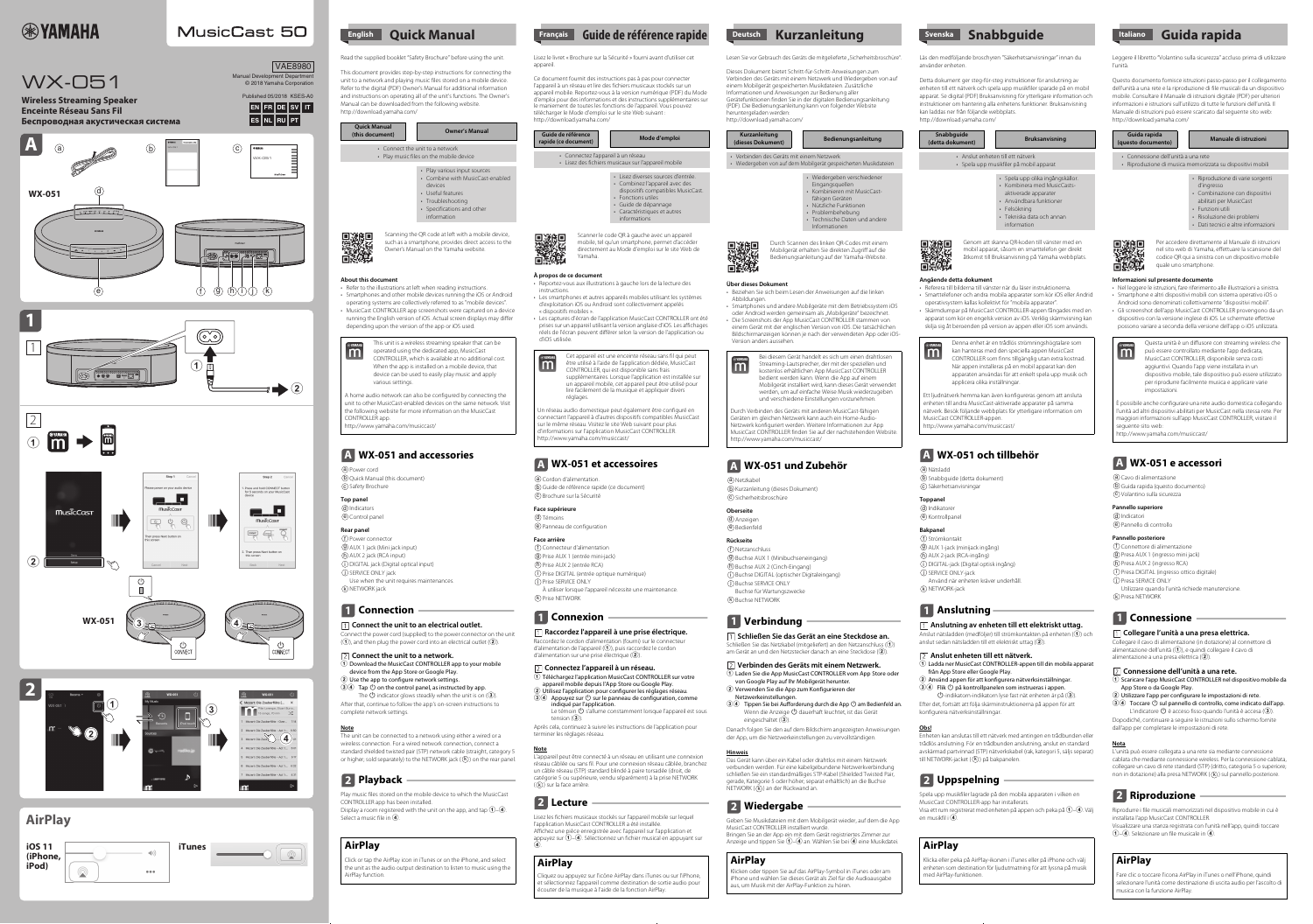# **EXAMAHA**

# **MusicCast 50**



 $\bullet\bullet\bullet$ 

### Read the supplied booklet "Safety Brochure" before using the unit.

This document provides step-by-step instructions for connecting the unit to a network and playing music files stored on a mobile device. Refer to the digital (PDF) Owner's Manual for additional information and instructions on operating all of the unit's functions. The Owner's Manual can be downloaded from the following website. http://download.yamaha.com/

Connect the power cord (supplied) to the power connector on the unit  $(1)$ , and then plug the power cord into an electrical outlet  $(2)$ .

such as a smartphone, provides direct access to the Owner's Manual on the Yamaha website.

#### **About this document**

m

34 Tap  $\circled{0}$  on the control panel, as instructed by app. The  $\bigcirc$  indicator glows steadily when the unit is on  $\langle 3 \rangle$ . After that, continue to follow the app's on-screen instructions to

wireless connection. For a wired network connection, connect a standard shielded twisted pair (STP) network cable (straight, category 5 or higher; sold separately) to the NETWORK jack  $(\sf(k)$ ) on the rear panel.

- Refer to the illustrations at left when reading instructions. • Smartphones and other mobile devices running the iOS or Android operating systems are collectively referred to as "mobile devices".
- MusicCast CONTROLLER app screenshots were captured on a device running the English version of iOS. Actual screen displays may differ depending upon the version of the app or iOS used.

Play music files stored on the mobile device to which the MusicCast CONTROLLER app has been installed. Display a room registered with the unit on the app, and tap  $\hat{1}$ – $\hat{4}$ . Select a music file in  $\overline{4}$ .

## **Rear panel**

<u>f</u>) Power connector AUX 1 jack (Mini jack input) g AUX 2 jack (RCA input) h DIGITAL jack (Digital optical input) i j) SERVICE ONLY jack Use when the unit requires maintenances. k) NETWORK jack

## **1** Connection

### **Connect the unit to an electrical outlet.**

**Connect the unit to a network.**

1 Download the MusicCast CONTROLLER app to your mobile device from the App Store or Google Play.

Témoins d e) Panneau de configuration

2 Use the app to configure network settings.

**Raccordez l'appareil à une prise électrique.** Raccordez le cordon d'alimentation (fourni) sur le connecteur d'alimentation de l'appareil  $(1)$ , puis raccordez le cordon d'alimentation sur une prise électrique  $(2)$ .

complete network settings.

- 1 Téléchargez l'application MusicCast CONTROLLER sur votre appareil mobile depuis l'App Store ou Google Play.
- 2 Utilisez l'application pour configurer les réglages réseau.  $(3)(4)$  Appuyez sur  $\cup$  sur le panneau de configuration, comme indiqué par l'application.
- Le témoin  $\mathbf \Theta$  s'allume constamment lorsque l'appareil est sous tension  $(3)$ .

#### **Note** The unit can be connected to a network using either a wired or a

L'appareil peut être connecté à un réseau en utilisant une connexion réseau câblée ou sans fil. Pour une connexion réseau câblée, branchez un câble réseau (STP) standard blindé à paire torsadée (droit, de catégorie 5 ou supérieure, vendu séparément) à la prise NETWORK  $((k))$  sur la face arrière.

Lisez les fichiers musicaux stockés sur l'appareil mobile sur lequel l'application MusicCast CONTROLLER a été installée. Affichez une pièce enregistrée avec l'appareil sur l'application et appuyez sur  $\widehat{1}$ –4. Sélectionnez un fichier musical en appuyant sur  $\ddot{\mathbf{A}}$ 

Lisez le livret « Brochure sur la Sécurité » fourni avant d'utiliser cet appareil.

Ce document fournit des instructions pas à pas pour connecter l'appareil à un réseau et lire des fichiers musicaux stockés sur un appareil mobile. Reportez-vous à la version numérique (PDF) du Mode d'emploi pour des informations et des instructions supplémentaires sur le maniement de toutes les fonctions de l'appareil. Vous pouvez télécharger le Mode d'emploi sur le site Web suivant : http://download.yamaha.com/

> Netzkabel a **b**) Kurzanleitung (dieses Dokument)

C) Sicherheitsbroschüre

## directement au Mode d'emploi sur le site Web de Yamaha.

### **À propos de ce document**

- 1 Laden Sie die App MusicCast CONTROLLER vom App Store oder von Google Play auf Ihr Mobilgerät herunter.
- 2 Verwenden Sie die App zum Konfigurieren der
- Netzwerkeinstellungen. 34 Tippen Sie bei Aufforderung durch die App  $\circlearrowright$  am Bedienfeld an. Wenn die Anzeige  $\bigcirc$  dauerhaft leuchtet, ist das Gerät
- Reportez-vous aux illustrations à gauche lors de la lecture des instructions. • Les smartphones et autres appareils mobiles utilisant les systèmes d'exploitation iOS ou Android sont collectivement appelés
- « dispositifs mobiles ». • Les captures d'écran de l'application MusicCast CONTROLLER ont été
- prises sur un appareil utilisant la version anglaise d'iOS. Les affichages réels de l'écran peuvent différer selon la version de l'application ou d'iOS utilisée.

eingeschaltet  $(3)$ . Danach folgen Sie den auf dem Bildschirm angezeigten Anweisungen der App, um die Netzwerkeinstellungen zu vervollständigen.

Das Gerät kann über ein Kabel oder drahtlos mit einem Netzwerk verbunden werden. Für eine kabelgebundene Netzwerkverbindung schließen Sie ein standardmäßiges STP-Kabel (Shielded Twisted Pair, gerade, Kategorie 5 oder höher; separat erhältlich) an die Buchse NETWORK ((k)) an der Rückwand an.

Geben Sie Musikdateien mit dem Mobilgerät wieder, auf dem die App MusicCast CONTROLLER installiert wurde. Bringen Sie an der App ein mit dem Gerät registriertes Zimmer zur Anzeige und tippen Sie  $\left(1\right)$ –4 an. Wählen Sie bei 4 eine Musikdatei.

### **Face supérieure**

### **Face arrière**

- $\operatorname{f}$ ) Connecteur d'alimentation
- Prise AUX 1 (entrée mini-jack) g **h**) Prise AUX 2 (entrée RCA)
- Prise DIGITAL (entrée optique numérique) i
- Prise SERVICE ONLY j À utiliser lorsque l'appareil nécessite une maintenance.
- k) Prise NETWORK

## **1** Connexion

### **Connectez l'appareil à un réseau.**

Nätsladd a  $\bm{\mathsf{b}}$ ) Snabbguide (detta dokument)  $\circ$ ) Säkerhetsanvisningar

Indikatorer d  $\rm \acute{e}$ ) Kontrollpanel

- 1 Ladda ner MusicCast CONTROLLER-appen till din mobila apparat från App Store eller Google Play.
- 2 Använd appen för att konfigurera nätverksinställningar. 34 Flik  $\circled{1}$  på kontrollpanelen som instrueras i appen.

Après cela, continuez à suivre les instructions de l'application pour terminer les réglages réseau.

#### **Note**

 $\bigcirc$ -indikatorn-indikatorn lyse fast nät enheten är på  $\overline{\mathfrak{a}}$ . Efter det, fortsätt att följa skärminstruktionerna på appen för att konfigurera nätverksinställningar.

Enheten kan anslutas till ett nätverk med antingen en trådbunden eller trådlös anslutning. För en trådbunden anslutning, anslut en standard avskärmad partvinnad (STP) nätverkskabel (rak, kategori 5, säljs separat) till NETWORK-jacket ((k)) på bakpanelen.

Spela upp musikfiler lagrade på den mobila apparaten i vilken en MusicCast CONTROLLER-app har installerats. Visa ett rum registrerat med enheten på appen och peka på  $(1)$ – $(4)$ . Välj en musikfil i $\left($ 4.

Dieses Dokument bietet Schritt-für-Schritt-Anweisungen zum Verbinden des Geräts mit einem Netzwerk und Wiedergeben von auf einem Mobilgerät gespeicherten Musikdateien. Zusätzliche Informationen und Anweisungen zur Bedienung aller Gerätefunktionen finden Sie in der digitalen Bedienungsanleitung (PDF). Die Bedienungsanleitung kann von folgender Website heruntergeladen werden:

> **Pannello superiore** Indicatori d  $\rm \Theta$  Pannello di controllo

 $\operatorname{f}$ ) Connettore di alimentazione  $\overline{\textbf{9}}$  Presa AUX 1 (ingresso mini jack) h) Presa AUX 2 (ingresso RCA) Presa DIGITAL (ingresso ottico digitale) i Presa SERVICE ONLY j Utilizzare quando l'unità richiede manutenzione.

**1** Connessione

Collegare il cavo di alimentazione (in dotazione) al connettore di alimentazione dell'unità  $(1)$ , e quindi collegare il cavo di alimentazione a una presa elettrica  $(2)$ .

http://download.yamaha.com/

Durch Scannen des linken QR-Codes mit einem Mobilgerät erhalten Sie direkten Zugriff auf die Bedienungsanleitung auf der Yamaha-Website.

#### **Über dieses Dokument** • Beziehen Sie sich beim Lesen der Anweisungen auf die linken

Abbildungen.

L'unità può essere collegata a una rete sia mediante connessione cablata che mediante connessione wireless. Per la connessione cablata, collegare un cavo di rete standard (STP) (dritto, categoria 5 o superiore; non in dotazione) alla presa NETWORK  $((k))$  sul pannello posteriore.

- Smartphones und andere Mobilgeräte mit dem Betriebssystem iOS oder Android werden gemeinsam als "Mobilgeräte" bezeichnet. • Die Screenshots der App MusicCast CONTROLLER stammen von einem Gerät mit der englischen Version von iOS. Die tatsächlichen
- Bildschirmanzeigen können je nach der verwendeten App oder iOS-Version anders aussehen.

#### **Oberseite**

**d**) Anzeigen

 $\stackrel{\bullet}{\equiv}$  Bedienfeld

## **Rückseite**

- Netzanschluss f Buchse AUX 1 (Minibuchseneingang) g
- Buchse AUX 2 (Cinch-Eingang) h
- Buchse DIGITAL (optischer Digitaleingang) i
- <u>j</u>) Buchse SERVICE ONLY Buchse für Wartungszwecke

<u>k</u>) Buchse NETWORK

home audio network can also be configured by connecting the unit to other MusicCast-enabled devices on the same network. Visit he following website for more information on the MusicCast CONTROLLER app. http://www.yamaha.com/musiccast/

Click or tap the AirPlay icon in iTunes or on the iPhone, and select the unit as the audio output destination to listen to music using the dirPlay function.

**Schließen Sie das Gerät an eine Steckdose an.** Schließen Sie das Netzkabel (mitgeliefert) an den Netzanschluss (1) am Gerät an und den Netzstecker danach an eine Steckdose (2).



#### **Verbinden des Geräts mit einem Netzwerk.**

#### **Hinweis**

## **WX-051 and accessories A**

**a**) Power cord Quick Manual (this document) b C) Safety Brochure

**Top panel d**) Indicators Control panel e Durch Verbinden des Geräts mit anderen MusicCast-fähigen Geräten im gleichen Netzwerk kann auch ein Home-Audio-Netzwerk konfiguriert werden. Weitere Informationen zur App MusicCast CONTROLLER finden Sie auf der nachstehenden Website. ttp://www.yamaha.com/musiccast/

Läs den medföljande broschyren "Säkerhetsanvisningar" innan du använder enheten.

## **Playback 2**

Detta dokument ger steg-för-steg instruktioner för anslutning av enheten till ett nätverk och spela upp musikfiler sparade på en mobil apparat. Se digital (PDF) Bruksanvisning för ytterligare information och instruktioner om hantering alla enhetens funktioner. Bruksanvisning kan laddas ner från följande webbplats. http://download.yamaha.com/

åtkomst till Bruksanvisning på Yamaha webbplats.

#### **Angående detta dokument**



- Referera till bilderna till vänster när du läser instruktionerna. • Smarttelefoner och andra mobila apparater som kör iOS eller Andrid
- operativsystem kallas kollektivt för "mobila apparater". • Skärmdumpar på MusicCast CONTROLLER-appen fångades med en
- apparat som kör en engelsk version av iOS. Verklig skärmvisning kan skilja sig åt beroenden på version av appen eller iOS som används.



### **Toppanel**

## **Bakpanel**

#### **Anslutning av enheten till ett elektriskt uttag.**

Anslut nätsladden (medföljer) till strömkontakten på enheten  $(1)$  och anslut sedan nätsladden till ett elektriskt uttag  $(2)$ .

## **WX-051 et accessoires A**

a) Cordon d'alimentation. **b**) Guide de référence rapide (ce document) C) Brochure sur la Sécurité

#### **Anslut enheten till ett nätverk.**

#### **Obs!**

## **Lecture 2**

Leggere il libretto "Volantino sulla sicurezza" accluso prima di utilizzare l'unità.

Questo documento fornisce istruzioni passo-passo per il collegamento dell'unità a una rete e la riproduzione di file musicali da un dispositivo mobile. Consultare il Manuale di istruzioni digitale (PDF) per ulteriori informazioni e istruzioni sull'utilizzo di tutte le funzioni dell'unità. Il Manuale di istruzioni può essere scaricato dal seguente sito web: http://download.yamaha.com/

> Per accedere direttamente al Manuale di istruzioni nel sito web di Yamaha, effettuare la scansione del codice QR qui a sinistra con un dispositivo mobile quale uno smartphone.

#### **Informazioni sul presente documento**

- Nel leggere le istruzioni, fare riferimento alle illustrazioni a sinistra. • Smartphone e altri dispositivi mobili con sistema operativo iOS o Android sono denominati collettivamente "dispositivi mobili".
- Gli screenshot dell'app MusicCast CONTROLLER provengono da un dispositivo con la versione inglese di iOS. Le schermate effettive possono variare a seconda della versione dell'app o iOS utilizzata.



## **WX-051 und Zubehör A**

#### **Pannello posteriore**

k) Presa NETWORK

## **Verbindung 1**

#### **Collegare l'unità a una presa elettrica.**

#### **Connessione dell'unità a una rete.**

## **Wiedergabe 2**

1 Scaricare l'app MusicCast CONTROLLER nel dispositivo mobile da App Store o da Google Play.

#### $\widehat{\mathbf{2}}$ ) Utilizzare l'app per configurare le imp 34 Toccare  $\circled{1}$  sul pannello di controllo, come indicato dall'app. L'indicatore  $\bigcirc$  è acceso fisso quando l'unità è accesa (3).

Dopodiché, continuare a seguire le istruzioni sullo schermo fornite dall'app per completare le impostazioni di rete.

**Nota**



Riprodurre i file musicali memorizzati nel dispositivo mobile in cui è

installata l'app MusicCast CONTROLLER.

 $(1)$ – $(4)$ . Selezionare un file musicale in  $(4)$ .

Visualizzare una stanza registrata con l'unità nell'app, quindi toccare

are clic o toccare l'icona AirPlay in iTunes o nell'iPhone, quindi elezionare l'unità come destinazione di uscita audio per l'ascolto di

## **WX-051 och tillbehör A**

Strömkontakt f  $\overline{\textbf{9}}$  AUX 1-jack (minijack ingång) AUX 2-jack (RCA-ingång) h DIGITAL-jack (Digital optisk ingång) i j) SERVICE ONLY-jack Använd när enheten kräver underhål NETWORK-jack k

## **Anslutning 1**

This unit is a wireless streaming speaker that can be operated using the dedicated app, MusicCast CONTROLLER, which is available at no additional cost. When the app is installed on a mobile device, that device can be used to easily play music and apply various settings.

## **AirPlay**

## **Uppspelning 2**

# **Quick Manual English**



être utilisé à l'aide de l'application dédiée, MusicCast CONTROLLER, qui est disponible sans frais supplémentaires. Lorsque l'application est installée sur un appareil mobile, cet appareil peut être utilisé pour lire facilement de la musique et appliquer divers réglages.

Un réseau audio domestique peut également être configuré en connectant l'appareil à d'autres dispositifs compatibles MusicCast sur le même réseau. Visitez le site Web suivant pour plus d'informations sur l'application MusicCast CONTROLLER. http://www.yamaha.com/musiccast/

## **AirPlay**

## **WX-051 e accessori A**

Cavo di alimentazione a **b**) Guida rapida (questo documento) Volantino sulla sicurezza c

Cliquez ou appuyez sur l'icône AirPlay dans iTunes ou sur l'iPhone, t sélectionnez l'appareil comme destination de sortie audio pour écouter de la musique à l'aide de la fonction AirPlay.



## **Français Guide de référence rapide**



- Wiedergeben verschiedener
- Eingangsquellen • Kombinieren mit MusicCast-
- fähigen Geräten
- Nützliche Funktionen • Problembehebung
- Technische Daten und andere Informationen



**Riproduzione 2**

Bei diesem Gerät handelt es sich um einen drahtlosen m Streaming-Lautsprecher, der mit der speziellen und kostenlos erhältlichen App MusicCast CONTROLLER bedient werden kann. Wenn die App auf einem Mobilgerät installiert wird, kann dieses Gerät verwende werden, um auf einfache Weise Musik wiederzugeben und verschiedene Einstellungen vorzunehmen.

### **AirPlay**

Klicken oder tippen Sie auf das AirPlay-Symbol in iTunes oder am Phone und wählen Sie dieses Gerät als Ziel für die Audioausgabe aus, um Musik mit der AirPlay-Funktion zu hören.

## **Deutsch Kurzanleitung**

Lesen Sie vor Gebrauch des Geräts die mitgelieferte "Sicherheitsbroschüre".

Denna enhet är en trådlös strömningshögtalare som kan hanteras med den speciella appen MusicCast CONTROLLER som finns tillgänglig utan extra kostnad. När appen installeras på en mobil apparat kan den apparaten användas för att enkelt spela upp musik och applicera olika inställningar.

Ett ljudnätverk hemma kan även konfigureras genom att ansluta enheten till andra MusicCast-aktiverade apparater på samma nätverk. Besök följande webbplats för ytterligare information om MusicCast CONTROLLER-appen. http://www.yamaha.com/musiccast/

## **AirPlay**

Klicka eller peka på AirPlay-ikonen i iTunes eller på iPhone och välj enheten som destination för ljudutmatning för att lyssna på musik med AirPlay-funktionen.

## **Svenska Snabbguide**





Questa unità è un diffusore con streaming wireless che può essere controllato mediante l'app dedicata, MusicCast CONTROLLER, disponibile senza costi aggiuntivi. Quando l'app viene installata in un dispositivo mobile, tale dispositivo può essere utilizzato per riprodurre facilmente musica e applicare varie impostazioni.

È possibile anche configurare una rete audio domestica collegando l'unità ad altri dispositivi abilitati per MusicCast nella stessa rete. Per maggiori informazioni sull'app MusicCast CONTROLLER, visitare il seguente sito web: http://www.yamaha.com/musiccast/

**AirPlay**

musica con la funzione AirPlay.

## **Italiano Guida rapida**